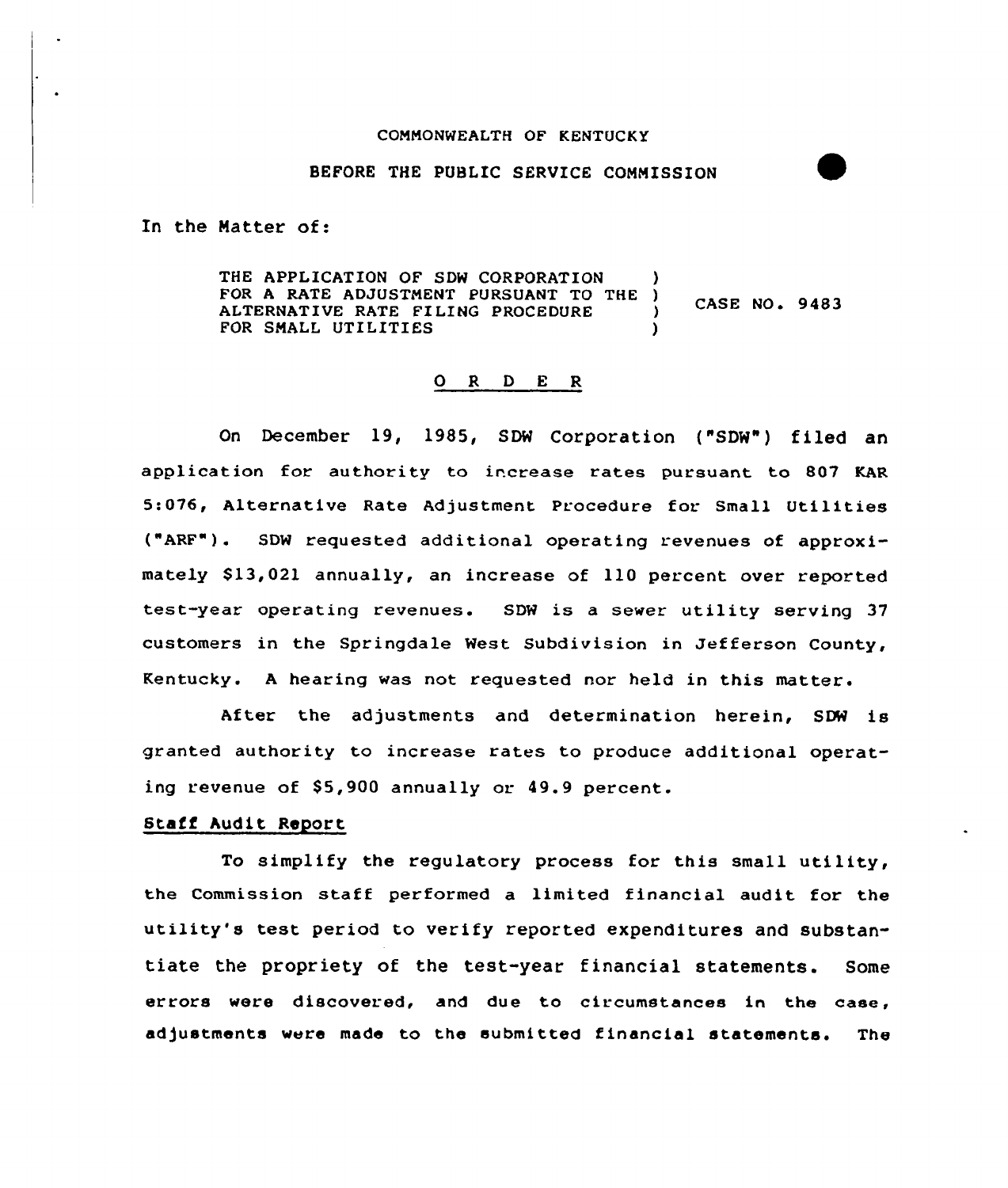#### CONNONNEALTH OF KENTUCKY

#### BEFORE THE PUBLIC SERVICE CONNISSION

In the Natter of:

THE APPLICATION OF SDW CORPORATION FOR A RATE ADJUSTMENT PURSUANT TO THE ) CASE NO. 9483 ALTERNATIVE RATE FILING PROCEDURE )<br>FOR SMALL UTILITIES FOR SMALL UTILITIES

## 0 R <sup>D</sup> E <sup>R</sup>

On December 19, 1985, SDW Corporation ("SDW") filed ar application for authority to increase rates pursuant to 807 KAR 5:076, Alternative Rate Adjustment Procedure for. Small Utilities  $("ARF")$ . SDW requested additional operating revenues of approximately \$13,021 annually, an increase of 110 percent over reported test-year operating revenues. SDN is <sup>a</sup> sewer utility serving 37 customers in the Springdale Nest Subdivision in Jefferson County, Kentucky. A hearing was not requested nor held in this matter.

After the adjustments and determination herein, SOW is granted authority to increase rates to produce additional operating revenue of \$5,900 annually or 49.9 percent.

# Stafi Audit Report

To simplify the regulatory process for this small utility, the Commission staff performed a limited financial audit for the utility's test period to verify reported expenditures and substantiate the propriety of the test-year financial statements. Some errors were discovered, and due to circumstances in the case, adjustments were made to the submitted financial statements. The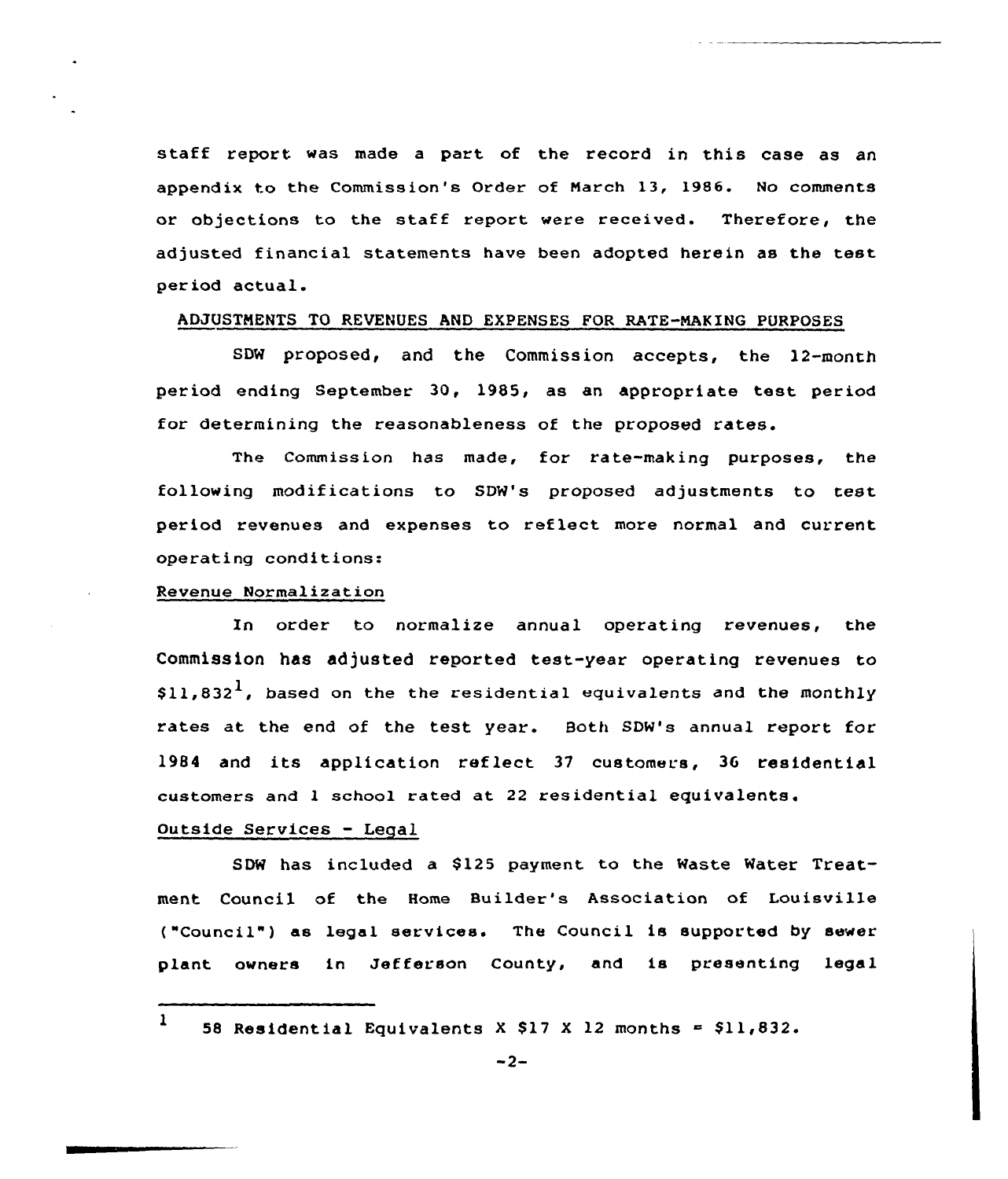staff report was made <sup>a</sup> part of the record in this case as an appendix to the Commission's Order of March 13, 1986. No comments or objections to the staff report were received. Therefore, the adjusted financial statements have been adopted herein as the test period actual.

# ADJUSTMENTS TO REVENUES AND EXPENSES FOR RATE-NAKING PURPOSES

SDW proposed, and the Commission accepts, the 12-month period ending September 30, 1985, as an appropriate test period for determining the reasonableness of the proposed rates.

The Commission has made, for rate-making purposes, the following modifications to SDW's proposed adjustments to test period revenues and expenses to reflect more normal and current operating conditions:

## Revenue Normalization

In order to normalize annual operating revenues, the Commission has adjusted reported test-year operating revenues to  $$11,832<sup>1</sup>$ , based on the the residential equivalents and the monthly rates at the end of the test year. Both SDW's annual report for 1984 and its application reflect <sup>37</sup> customers, 36 residential customers and 1 school rated at 22 residential equivalents.

# Outside Services - Legal

SDW has included a 8125 payment to the Waste Water Treatment. Council of the Home Builder's Association of Louisville ("Council" ) as legal services. The Council is supported by sewer plant owners in Jefferson County, and is presenting legal

1 58 Residential Equivalents X \$17 X 12 months  $=$  \$11,832.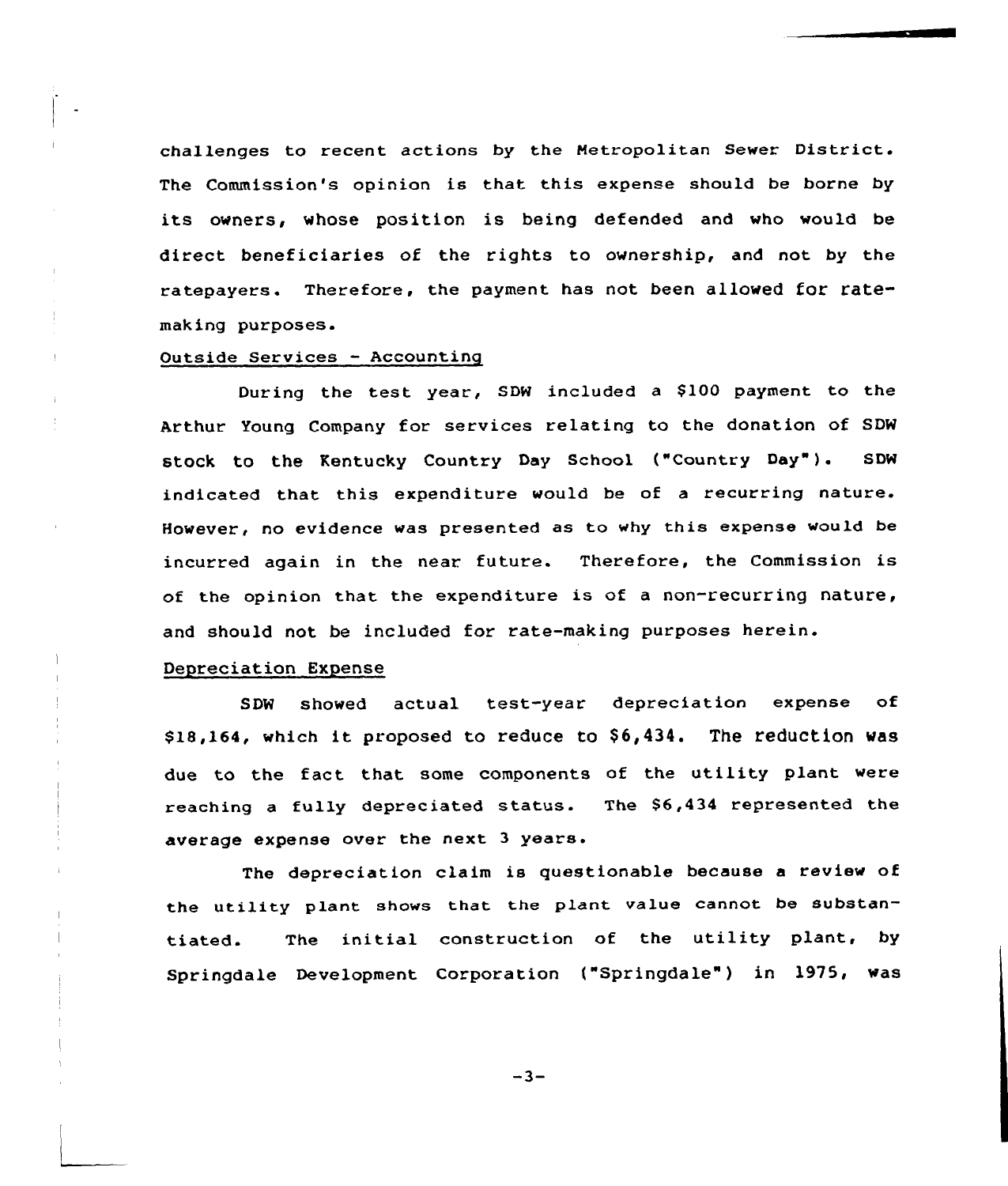challenges to recent actions by the Metropolitan Sewer District. The Commission's opinion is that this expense should be borne by its owners, whose position is being defended and who would be direct beneficiaries of the rights to ownership, and not by the ratepayers. Therefore, the payment has not been allowed for ratemaking purposes.

## Outside Services —Accounting

During the test year, SDW included a \$100 payment to the Arthur Young Company for services relating to the donation of SDW stock to the Kentucky Country Day School ("country Day"). sDw indicated that this expenditure would be of a recurring nature. However, no evidence was presented as to why this expense would be incurred again in the near future. Therefore, the Commission is of the opinion that the expenditure is of <sup>a</sup> non-recurring nature, and should not be included for rate-making purposes herein.

#### Depreciation Expense

SDW showed actual test-year depreciation expense of \$18,164, which it proposed to reduce to \$6,434. The reduction was due to the fact that some components of the utility plant were reaching a fully depreciated status. The 86,434 represented the average expense over the next <sup>3</sup> years.

The depreciation claim is questionable because <sup>a</sup> review of the utility plant shows that the plant value cannot be substantiated. The initial construction of the utility plant, by Springdale Development Corporation ("Springdale") in 1975, was

 $-3-$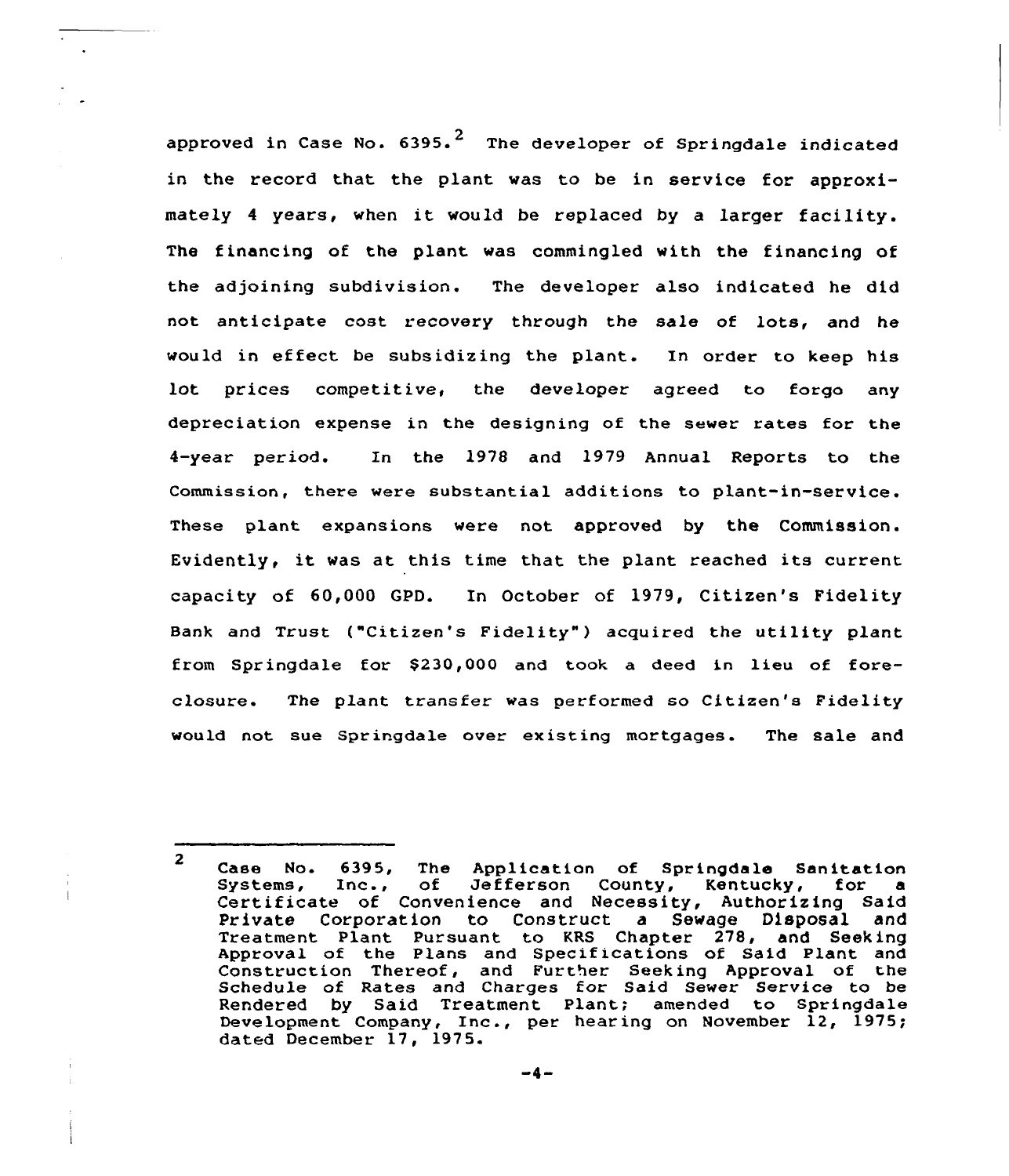approved in Case No.  $6395.^2$  The developer of Springdale indicated in the record that the plant was to be in service for approximately <sup>4</sup> years, when it would be replaced by <sup>a</sup> larger facility. The financing of the plant was commingled with the financing of the adjoining subdivision. The developer also indicated he did not anticipate cost recovery through the sale of lots, and he would in effect be subsidizing the plant. In order to keep his lot prices competitive, the developer agreed to forgo any depreciation expense in the designing of the sewer rates for the 4-year period. In the 1978 and 1979 Annual Reports to the Commission, there were substantial additions to plant-in-service. These plant expansions were not approved by the Commission. Evidently, it was at this time that the plant reached its current capacity of 60,000 GPD. In October of 1979, Citizen's Fidelity Bank and Trust ("Citizen's Fidelity" ) acquired the utility plant from Springdale for \$230,000 and took a deed in lieu of foreclosure. The plant transfer was performed so Citizen's Fidelit would not sue Springdale over existing mortgages. The sale and

<sup>2</sup> Case No. 6395, The Application of Springdale Sanitation<br>Systems, Inc., of Jefferson County, Kentucky, for a Systems, of Jefferson County, Kentucky, Certificate of Convenience and Necessity, Authorizing Said Private Corporation to Construct a Sewage Disposal and Treatment Plant Pursuant to KRS Chapter 278, and Seeking Approval of the Plans and Specifications of Said Plant and Construction Thereof, and Further Seeking Approval of the Schedule of Rates and Charges for Said Sewer Service to be Bendered by Said Treatment Plant; amended to Springdal Development Company, Inc., per hearing on November 12, 1975; dated December 17, 1975.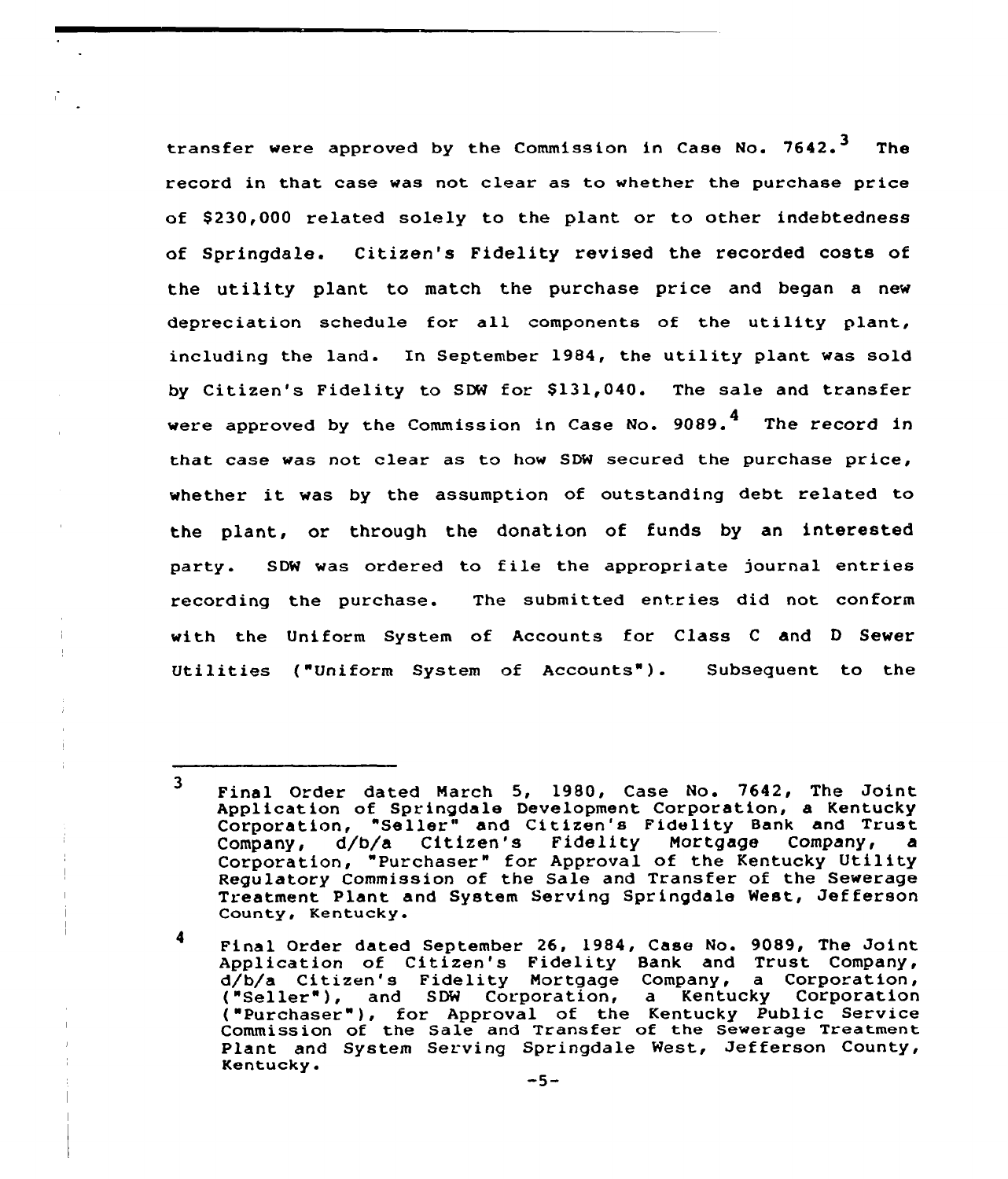transfer were approved by the Commission in Case No.  $7642.$ <sup>3</sup> The record in that case was not clear as to whether the purchase price of \$ 230,000 related solely to the plant or to other indebtedness of Springdale. Citizen's Fidelity revised the recorded costs of the utility plant to match the purchase price and began a new depreciation schedule for all components of the utility plant, including the land. In September 1984, the utility plant was sold by Citizen's Fidelity to SDW for \$131,040. The sale and transfer were approved by the Commission in Case No. 9089.<sup>4</sup> The record in that case was not clear as to how SDW secured the purchase price, whether it was by the assumption of outstanding debt related to the plant, or through the donation of funds by an interested party. SDW was ordered to file the appropriate journal entries recording the purchase. The submitted entries did not conform with the Uniform System of Accounts for Class <sup>C</sup> and <sup>D</sup> Sewer Utilities ("Uniform System of Accounts"). Subsequent to the

 $\overline{\mathbf{3}}$ Final Order dated March 5, 1980, Case No. 7642, The Joint Application of Springdale Development Corporation, a Kentucky Corporation, "Seller" and Citizen's Fidelity Bank and Trust<br>Company, d/b/a Citizen's Fidelity Mortgage Company, a Company, d/bfa Citizen's Fidelity Mortgage Company, a company, which corrected the company of the Kentucky Utility Regulatory Commission of the Sale and Transfer of the Sewerage Treatment Plant and System Serving Springdale West, Jefferson County, Kentucky.

<sup>4</sup> Final Order dated September 26, 1984, Case No. 9089, The Joint Application of Citizen's Fidelity Bank and Trust Company,<br>d/b/a Citizen's Fidelity Mortgage Company, a Corporation, d/b/a Citizen's Fidelity Mortgage Company, a Corporation<br>("Seller"), and SDW Corporation, a Kentucky Corporation<br>("Purchaser"), for Approval of the Kentucky Public Service Commission of the Sale and Transfer of the Sewerage Treatment Plant and System Serving Springdale West, Jefferson County, Kentucky.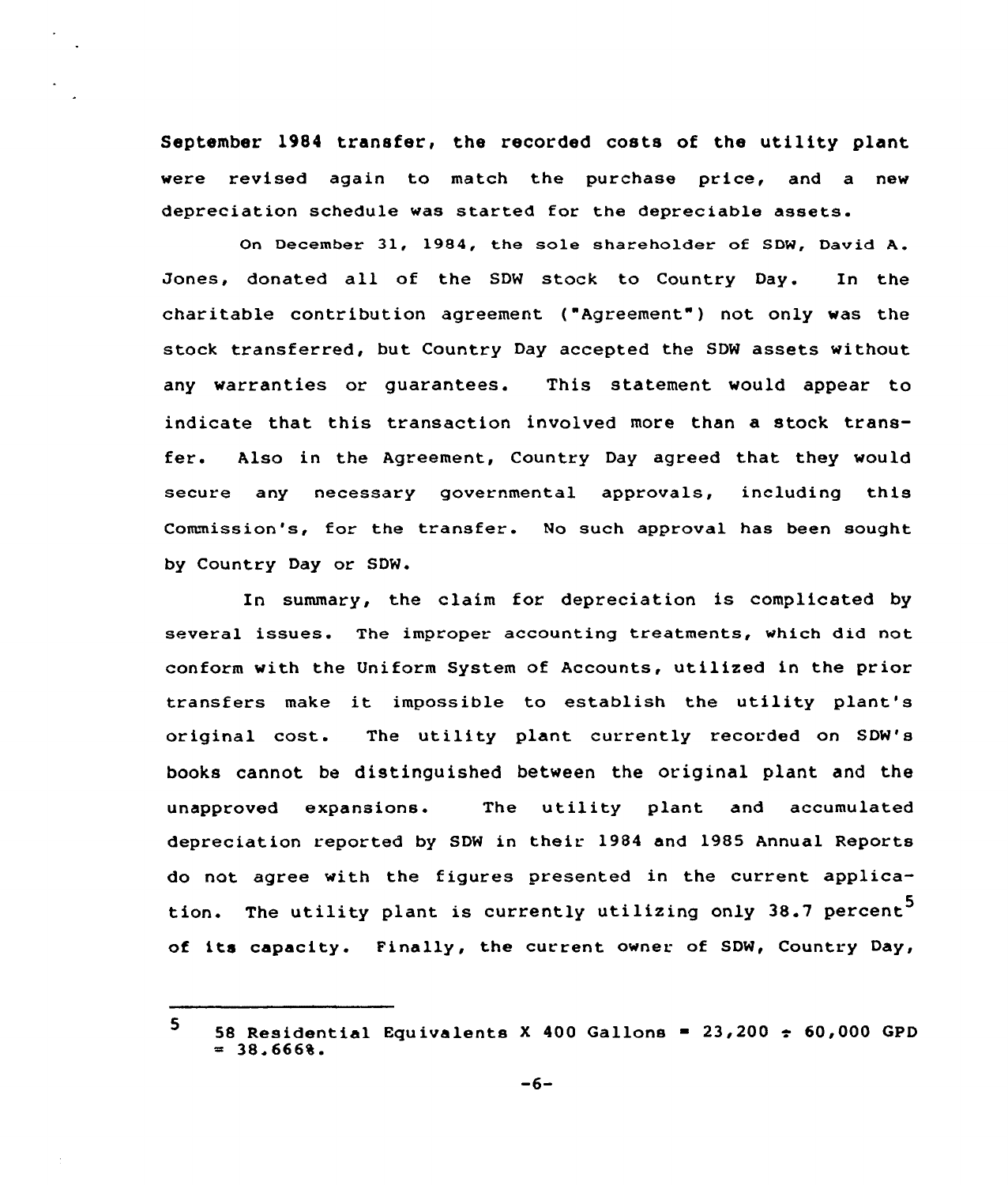September 1984 transfer, the recorded costs of the utility plant were revised again to match the purchase price, and a new depreciation schedule was started for the depreciable assets.

December 31, 1984, the sole shareholder of SDW, David A. Jones, donated all of the SDW stock to Country Day. In the charitable contribution agreement ("Agreement" ) not only was the stock transferred, but Country Day accepted the SDW assets without any warranties or guarantees. This statement would appear to indicate that this transaction involved more than a stock transfer. Also in the Agreement, Country Day agreed that they would secure any necessary governmental approvals, including this Commission's, for the transfer. No such approval has been sought by Country Day or SDW.

In summary, the claim for depreciation is complicated by several issues. The improper accounting treatments, which did not conform with the Uniform System of Accounts, utilized in the prior transfers make it impossible to establish the utility plant's original cost. The utility plant currently recorded on SDW's books cannot be distinguished between the original plant and the unapproved expansions. The utility plant and accumulated depreciation reported by SDW in their 1984 and 1985 Annual Reports do not agree with the figures presented in the current application. The utility plant is currently utilizing only 38.7 percent<sup>5</sup> of its capacity. Finally, the current owner of SDW, Country Day,

<sup>5</sup> 58 Residential Equivalents X 400 Gallons =  $23,200 \div 60,000$  GPD  $= 38.666%$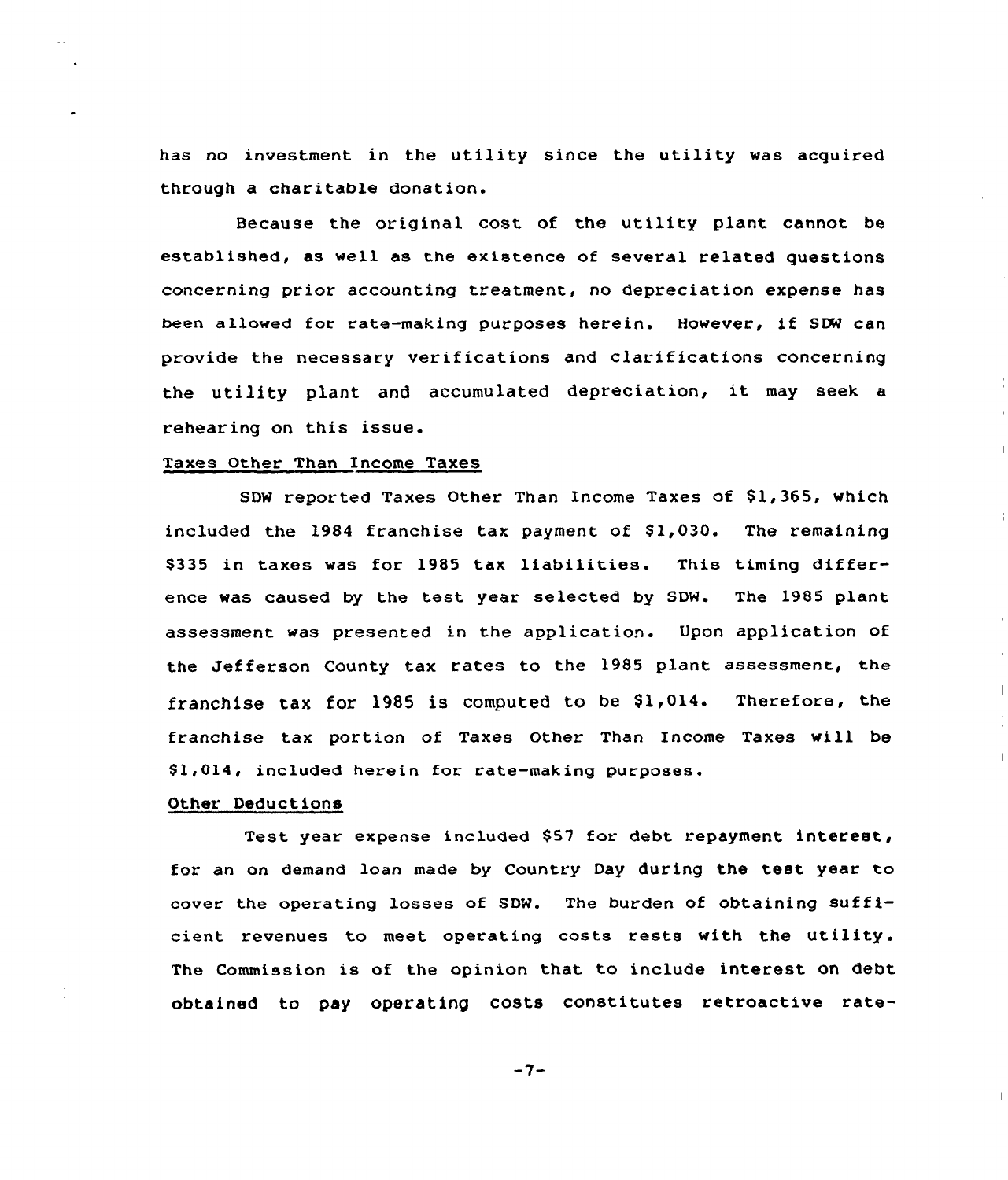has no investment in the utility since the utility was acquired through a charitable donation.

Because the original cost of the utility plant cannot be established, as well as the existence of several related questions concerning prior accounting treatment, no depreciation expense has been allowed for rate-making purposes herein. However, if SDW can provide the necessary verifications and clarifications concerning the utility plant and accumulated depreciation, it may seek <sup>a</sup> rehearing on this issue.

# Taxes Other Than Income Taxes

SDW reported Taxes Other Than Income Taxes of \$1,365, which included the  $1984$  franchise tax payment of  $$1,030$ . The remaining \$335 in taxes was for 1985 tax liabilities. This timing difference was caused by the test year selected by SDW. The 1985 plant assessment was presented in the application. Upon application of the Jefferson County tax rates to the 1985 plant assessment, the franchise tax for 1985 is computed to be  $$1,014$ . Therefore, the franchise tax portion of Taxes Other Than Income Taxes vill be \$1,014, included herein for rate-making purposes.

 $\mathcal{A}$ 

#### Other. Deductions

Test year expense included \$57 for debt repayment interest, for an on demand loan made by Country Day during the test year to cover the operating losses of SDN. The burden of obtaining sufficient revenues to meet operating costs rests with the utility. The Commission is of the opinion that to include interest on debt obtained to pay operating costs constitutes retroactive rate-

 $-7-$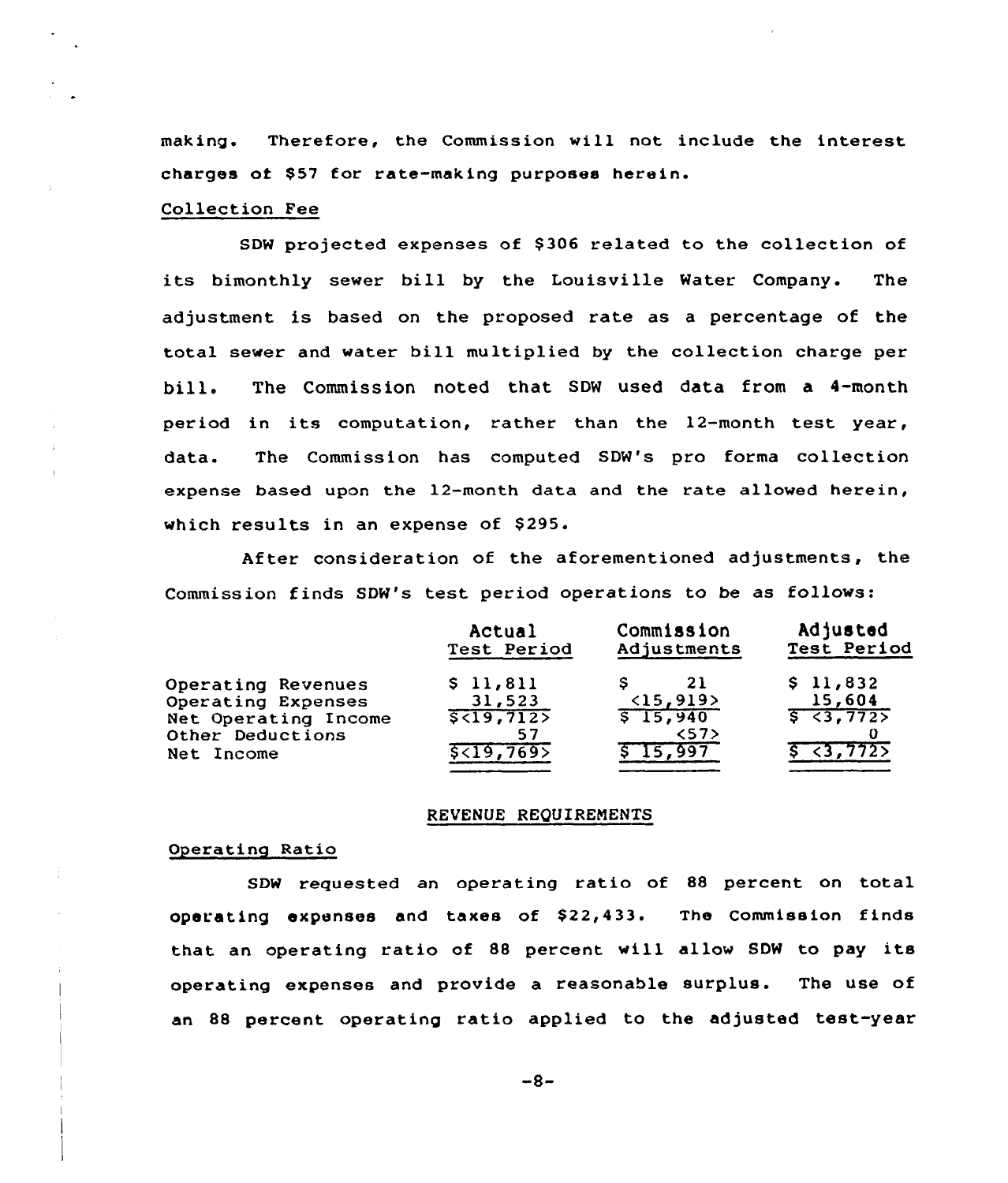making. Therefore, the Commission will not include the interest charges of \$57 for rate-making purposes herein.

#### Collection Fee

SDW projected expenses of \$306 related to the collection of its bimonthly sewer bill by the Louisville Water Company. The adjustment is based on the proposed rate as a percentage of the total sewer and water bill multiplied by the collection charge per bill. The Commission noted that SDW used data from <sup>a</sup> 4-month period in its computation, rather than the 12-month test year, data. The Commission has computed SDW's pro forma collection expense based upon the 12-month data and the rate allowed herein, which results in an expense of \$295.

After consideration of the aforementioned adjustments, the Commission finds SDW's test period operations to be as follows:

|                                                        | Actual                      | Commission                     | Adjusted               |
|--------------------------------------------------------|-----------------------------|--------------------------------|------------------------|
|                                                        | Test Period                 | Adjustments                    | Test Period            |
| Operating Revenues                                     | \$11,811                    | 21                             | \$11,832               |
| Operating Expenses                                     | 31,523                      | (15, 919)                      | 15,604                 |
| Net Operating Income<br>Other Deductions<br>Net Income | 5<19,712><br>57<br>5<19,769 | $5 - 15,940$<br>57<br>\$15,997 | 5 < 3,772<br>5, 3, 772 |

#### REVENUE REQUIREMENTS

#### Operating Ratio

SDW requested an operating ratio of <sup>88</sup> percent on total operating expenses and taxes of \$22,433. The Commission finds that an operating ratio of <sup>88</sup> percent will allow SDW to pay its operating expenses and provide a reasonable surplus. The use of an 88 percent operating ratio applied to the adjusted test-year

 $-8-$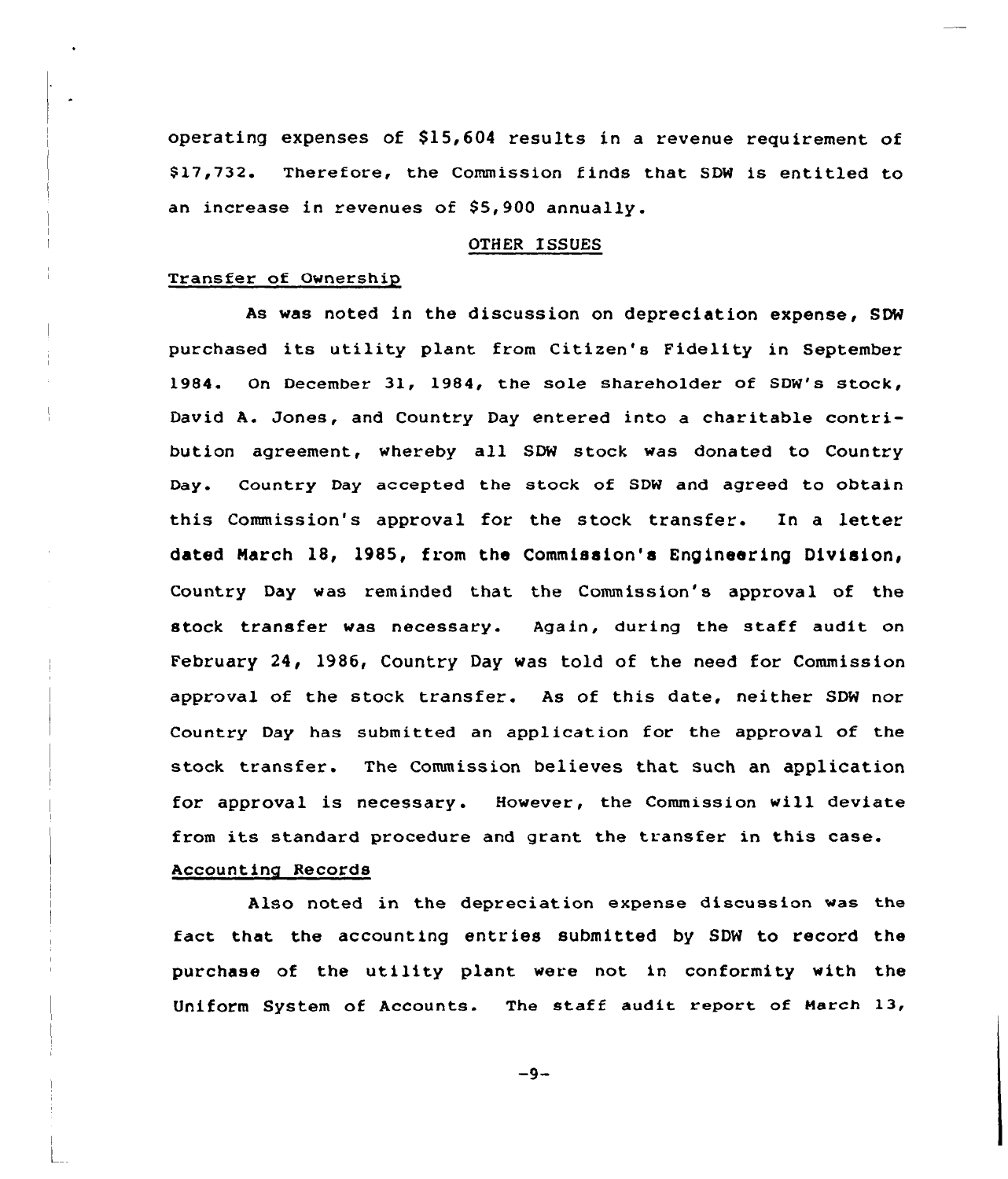operating expenses of  $$15,604$  results in a revenue requirement of \$17,732. Therefore, the Commission finds that SDW is entitled to an increase in revenues of S5,900 annually.

## OTHER ISSUES

## Transfer of Ownership

As was noted in the discussion on depreciation expense, SDW purchased its utility plant from Citizen's Fidelity in September 1984. On December 31, 1984, the sole shareholder of SDW's stock, David A. Jones, and Country Day entered into a charitable contribution agreement, whereby all SDW stock was donated to Country Day. Country Day accepted the stock of SDN and agreed to obtain this Commission's approval for the stock transfer. In a letter dated March 18, 1985, from the Commission's Engineering Division, Country Day was reminded that the Commission's approval of the stock transfer was necessary. Again, during the staff audit on February 24< 1986, Country Day was told of the need for Commission approval of the stock transfer. As of this date, neither SDW nor Country Day has submitted an application for the approval of the stock transfer. The Commission believes that such an application for approval is necessary. However, the Commission will deviate from its standard procedure and grant the transfer in this case.

## Accounting Records

Also noted in the depreciation expense discussion was the fact that the accounting entries submitted by SDW to record the purchase of the utility plant were not in conformity with the Uniform System af Accounts. The staff audit report of Harch 13,

 $-9-$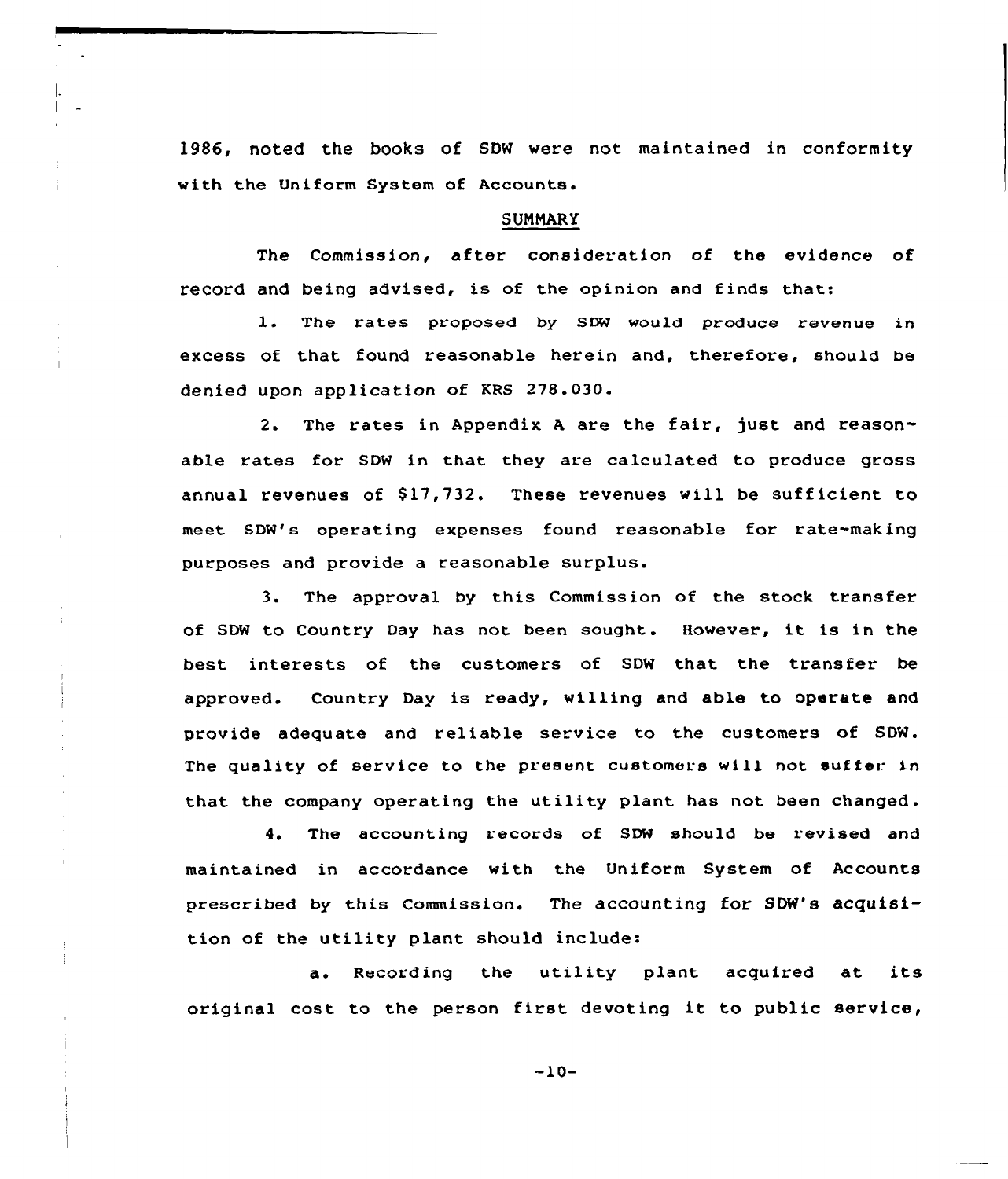1986, noted the books of SDW were not maintained in conformity with the Uniform System of Accounts.

#### **SUMMARY**

The Commission, after consideration of the evidence of record and being advised, is of the opinion and finds that:

1. The rates proposed by SDN would produce revenue in excess of that found reasonable herein and, therefore, should be denied upon application of KRS 278.030.

2. The rates in Appendix <sup>A</sup> are the fair, just and reasonable rates for SDW in that they are calculated to produce gross annual revenues of \$17,732. These revenues will be sufficient to meet SDW's operating expenses found reasonable for rate-making purposes and provide a reasonable surplus.

3. The approval by this Commission of the stock transfer of SDW to Country Day has not been sought. However, it is in the best interests of the customers of SDW that the transfer be approved. Country Day is ready, willing and able to operate and provide adequate and reliable service to the customers of SDW. The quality of service to the present customers will not suffer in that the company operating the utility plant has not been changed.

4. The accounting records of SDW should be revised and maintained in accordance with the Uniform System of Accounts prescribed by this Commission. The accounting for SON's acquisition of the utility plant should include:

a. Recording the utility plant acquired at its original cost to the person first devoting it to public service,

-10-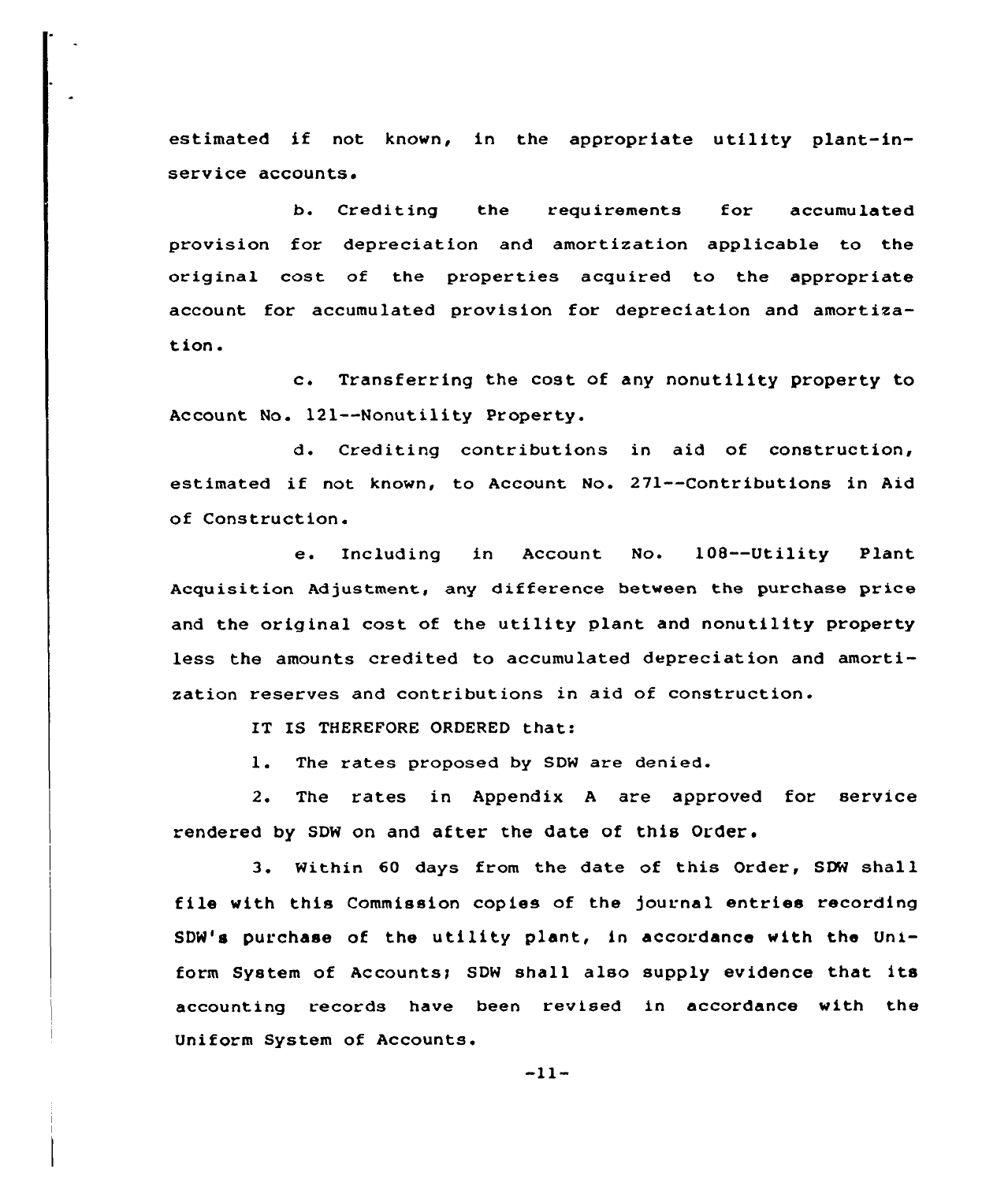estimated if not known, in the appropriate utility plant-inservice accounts.

b. Crediting the requirements for accumulated provision for depreciation and amortization applicable to the original cost of the properties acquired to the appropriate account for accumulated provision for depreciation and amortization.

c. Transferring the cost of any nonutility property to Account No. 121--Nonutility Property.

d. Crediting contributions in aid of construction, estimated if not known, to Account No. 271--Contributions in Aid of Construction.

e. Including in Account No. 108--Utility Plant Acquisition Adjustment, any difference between the purchase price and the original cost of the utility plant and nonutility property less the amounts credited to accumulated depreciation and amortization reserves and contributions in aid of construction.

IT IS THEREFORE ORDERED that:

1. The rates proposed by SDW are denied.

2. The rates in Appendix <sup>A</sup> are approved for service rendered by SDW on and after the date of this Order.

3. Within 60 days from the date of this Order, SDW shall file with this Commission copies of the journal entries recording SDW's purchase of the utility plant, in accordance with the Uniform System of Accounts; SDW shall also supply evidence that its accounting records have been revised in accordance with the Uniform System of Accounts.

 $-11-$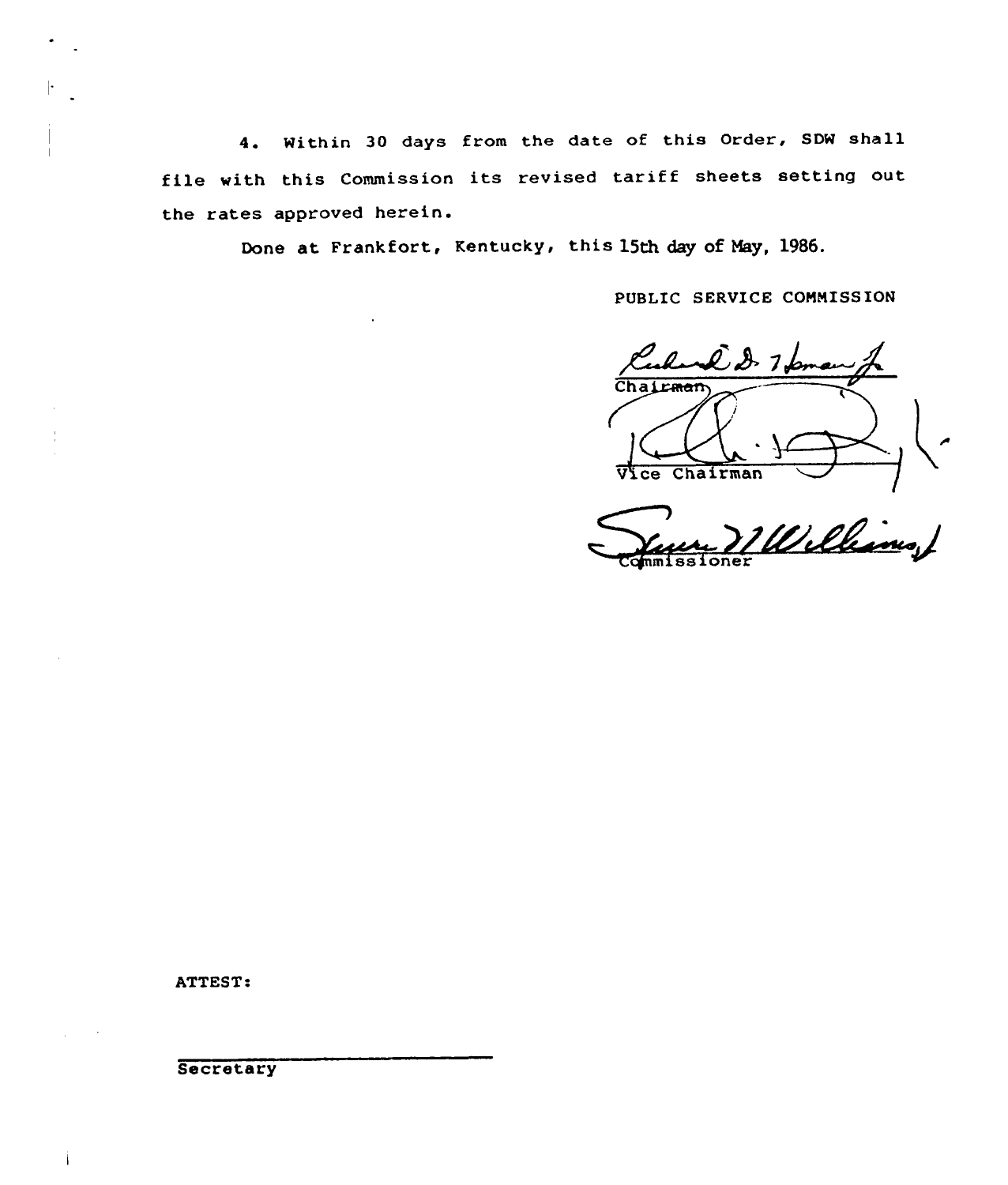4. Within 30 days from the date of this Order, SDW shall file with this Commission its revised tariff sheets setting out the rates approved herein.

Done at Frankfort, Kentucky, this 15th day of May, 1986.

PUBLIC SERVICE CONNISSION

 $Chat<sub>ram</sub>$ Vice Chairman

Williams /

ATTEST:

**Secretary**